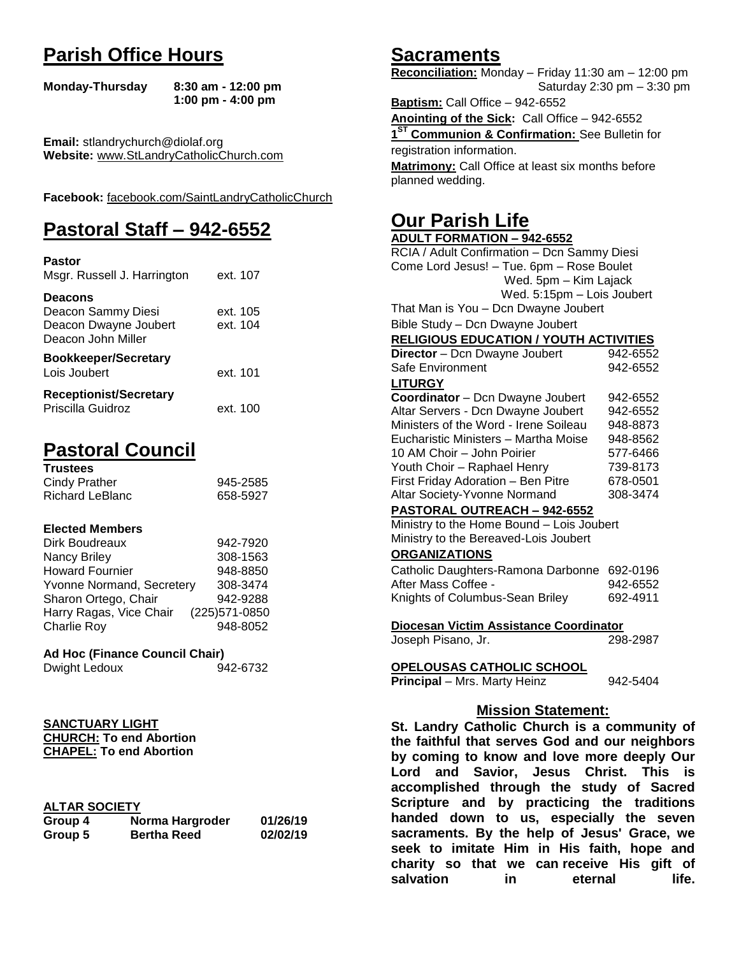# **Parish Office Hours**

```
Monday-Thursday 8:30 am - 12:00 pm
       1:00 pm - 4:00 pm
```
**Email:** stlandrychurch@diolaf.org **Website:** [www.StLandryCatholicChurch.com](http://www.stlandrycatholicchurch.com/)

**Facebook:** [facebook.com/SaintLandryCatholicChurch](http://facebook.com/SaintLandryCatholicChurch)

# **Pastoral Staff – 942-6552**

| <b>Pastor</b><br>Msgr. Russell J. Harrington                                        | ext. 107             |
|-------------------------------------------------------------------------------------|----------------------|
| <b>Deacons</b><br>Deacon Sammy Diesi<br>Deacon Dwayne Joubert<br>Deacon John Miller | ext. 105<br>ext. 104 |
| <b>Bookkeeper/Secretary</b><br>Lois Joubert                                         | ext. 101             |
| <b>Receptionist/Secretary</b><br>Priscilla Guidroz                                  | ext. 100             |

# **Pastoral Council**

| <b>Trustees</b> |          |
|-----------------|----------|
| Cindy Prather   | 945-2585 |
| Richard LeBlanc | 658-5927 |

#### **Elected Members**

| Dirk Boudreaux            | 942-7920       |
|---------------------------|----------------|
| Nancy Briley              | 308-1563       |
| <b>Howard Fournier</b>    | 948-8850       |
| Yvonne Normand, Secretery | 308-3474       |
| Sharon Ortego, Chair      | 942-9288       |
| Harry Ragas, Vice Chair   | (225) 571-0850 |
| <b>Charlie Roy</b>        | 948-8052       |

## **Ad Hoc (Finance Council Chair)**

#### **SANCTUARY LIGHT CHURCH: To end Abortion CHAPEL: To end Abortion**

## **ALTAR SOCIETY**

| Group 4 | Norma Hargroder    | 01/26/19 |
|---------|--------------------|----------|
| Group 5 | <b>Bertha Reed</b> | 02/02/19 |

# **Sacraments**

**Reconciliation:** Monday – Friday 11:30 am – 12:00 pm Saturday 2:30 pm – 3:30 pm

**Baptism:** Call Office – 942-6552 **Anointing of the Sick:** Call Office – 942-6552 **1 ST Communion & Confirmation:** See Bulletin for registration information. **Matrimony:** Call Office at least six months before planned wedding.

# **Our Parish Life**

| <b>ADULT FORMATION - 942-6552</b>                                                       |          |  |
|-----------------------------------------------------------------------------------------|----------|--|
| RCIA / Adult Confirmation - Dcn Sammy Diesi                                             |          |  |
| Come Lord Jesus! - Tue. 6pm - Rose Boulet                                               |          |  |
| Wed. 5pm - Kim Lajack                                                                   |          |  |
| Wed. 5:15pm - Lois Joubert                                                              |          |  |
| That Man is You - Dcn Dwayne Joubert                                                    |          |  |
| Bible Study - Dcn Dwayne Joubert                                                        |          |  |
| <b>RELIGIOUS EDUCATION / YOUTH ACTIVITIES</b>                                           |          |  |
| Director - Dcn Dwayne Joubert                                                           | 942-6552 |  |
| Safe Environment                                                                        | 942-6552 |  |
| <b>LITURGY</b>                                                                          |          |  |
| Coordinator - Dcn Dwayne Joubert                                                        | 942-6552 |  |
| Altar Servers - Dcn Dwayne Joubert                                                      | 942-6552 |  |
| Ministers of the Word - Irene Soileau                                                   | 948-8873 |  |
| Eucharistic Ministers - Martha Moise                                                    | 948-8562 |  |
| 10 AM Choir - John Poirier                                                              | 577-6466 |  |
| Youth Choir - Raphael Henry<br>739-8173                                                 |          |  |
| First Friday Adoration - Ben Pitre                                                      | 678-0501 |  |
| Altar Society-Yvonne Normand                                                            | 308-3474 |  |
| PASTORAL OUTREACH - 942-6552                                                            |          |  |
| Ministry to the Home Bound - Lois Joubert                                               |          |  |
| Ministry to the Bereaved-Lois Joubert                                                   |          |  |
| <b>ORGANIZATIONS</b>                                                                    |          |  |
| Catholic Daughters-Ramona Darbonne                                                      | 692-0196 |  |
| After Mass Coffee -                                                                     | 942-6552 |  |
| Knights of Columbus-Sean Briley                                                         | 692-4911 |  |
|                                                                                         |          |  |
| Diocesan Victim Assistance Coordinator                                                  |          |  |
| Joseph Pisano, Jr.                                                                      | 298-2987 |  |
|                                                                                         |          |  |
| <b>OPELOUSAS CATHOLIC SCHOOL</b><br>Principal - Mrs. Marty Heinz<br>942-5404            |          |  |
|                                                                                         |          |  |
| <b>Mission Statement:</b>                                                               |          |  |
| St. Landry Catholic Church is a community of                                            |          |  |
| the faithful that serves God and our neighbors                                          |          |  |
|                                                                                         |          |  |
| by coming to know and love more deeply Our<br>Lord and Savior, Jesus Christ. This<br>is |          |  |
| accomplished through the study of Sacred                                                |          |  |

**Lord and Savior, Jesus Christ. This is accomplished through the study of Sacred Scripture and by practicing the traditions handed down to us, especially the seven sacraments. By the help of Jesus' Grace, we seek to imitate Him in His faith, hope and charity so that we can receive His gift of salvation in** eternal life.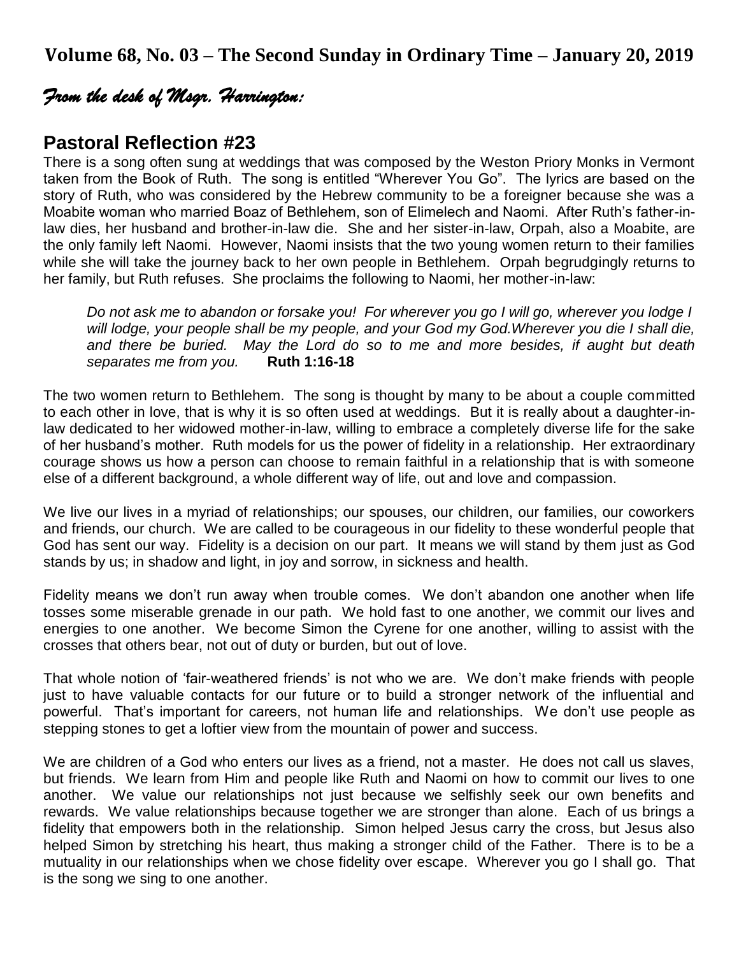**Volume 68, No. 03 – The Second Sunday in Ordinary Time – January 20, 2019**

# *From the desk of Msgr. Harrington:*

# **Pastoral Reflection #23**

There is a song often sung at weddings that was composed by the Weston Priory Monks in Vermont taken from the Book of Ruth. The song is entitled "Wherever You Go". The lyrics are based on the story of Ruth, who was considered by the Hebrew community to be a foreigner because she was a Moabite woman who married Boaz of Bethlehem, son of Elimelech and Naomi. After Ruth's father-inlaw dies, her husband and brother-in-law die. She and her sister-in-law, Orpah, also a Moabite, are the only family left Naomi. However, Naomi insists that the two young women return to their families while she will take the journey back to her own people in Bethlehem. Orpah begrudgingly returns to her family, but Ruth refuses. She proclaims the following to Naomi, her mother-in-law:

*Do not ask me to abandon or forsake you! For wherever you go I will go, wherever you lodge I will lodge, your people shall be my people, and your God my God.Wherever you die I shall die, and there be buried. May the Lord do so to me and more besides, if aught but death separates me from you.* **Ruth 1:16-18**

The two women return to Bethlehem. The song is thought by many to be about a couple committed to each other in love, that is why it is so often used at weddings. But it is really about a daughter-inlaw dedicated to her widowed mother-in-law, willing to embrace a completely diverse life for the sake of her husband's mother. Ruth models for us the power of fidelity in a relationship. Her extraordinary courage shows us how a person can choose to remain faithful in a relationship that is with someone else of a different background, a whole different way of life, out and love and compassion.

We live our lives in a myriad of relationships; our spouses, our children, our families, our coworkers and friends, our church. We are called to be courageous in our fidelity to these wonderful people that God has sent our way. Fidelity is a decision on our part. It means we will stand by them just as God stands by us; in shadow and light, in joy and sorrow, in sickness and health.

Fidelity means we don't run away when trouble comes. We don't abandon one another when life tosses some miserable grenade in our path. We hold fast to one another, we commit our lives and energies to one another. We become Simon the Cyrene for one another, willing to assist with the crosses that others bear, not out of duty or burden, but out of love.

That whole notion of 'fair-weathered friends' is not who we are. We don't make friends with people just to have valuable contacts for our future or to build a stronger network of the influential and powerful. That's important for careers, not human life and relationships. We don't use people as stepping stones to get a loftier view from the mountain of power and success.

We are children of a God who enters our lives as a friend, not a master. He does not call us slaves, but friends. We learn from Him and people like Ruth and Naomi on how to commit our lives to one another. We value our relationships not just because we selfishly seek our own benefits and rewards. We value relationships because together we are stronger than alone. Each of us brings a fidelity that empowers both in the relationship. Simon helped Jesus carry the cross, but Jesus also helped Simon by stretching his heart, thus making a stronger child of the Father. There is to be a mutuality in our relationships when we chose fidelity over escape. Wherever you go I shall go. That is the song we sing to one another.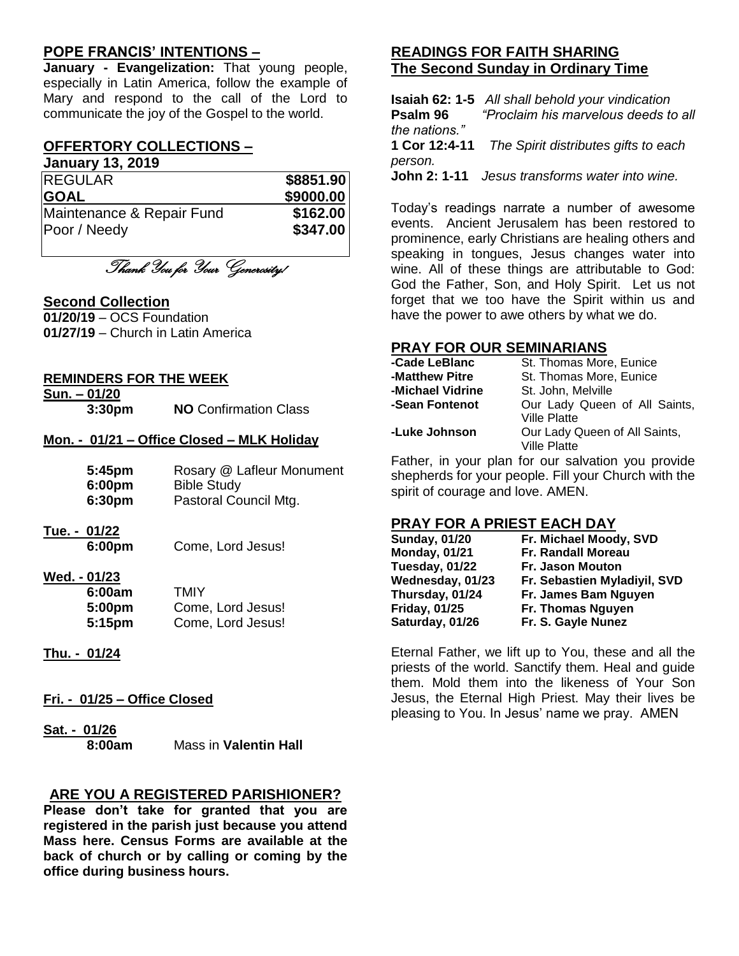# **POPE FRANCIS' INTENTIONS –**

**January - Evangelization:** That young people, especially in Latin America, follow the example of Mary and respond to the call of the Lord to communicate the joy of the Gospel to the world.

# **OFFERTORY COLLECTIONS –**

**January 13, 2019**

| <b>REGULAR</b>            | \$8851.90 |
|---------------------------|-----------|
| <b>GOAL</b>               | \$9000.00 |
| Maintenance & Repair Fund | \$162.00  |
| Poor / Needy              | \$347.00  |

Thank You for Your Generosity!

#### **Second Collection**

**01/20/19** – OCS Foundation **01/27/19** – Church in Latin America

#### **REMINDERS FOR THE WEEK**

**Sun. – 01/20**

**3:30pm NO** Confirmation Class

#### **Mon. - 01/21 – Office Closed – MLK Holiday**

| 5:45pm | Rosary @ Lafleur Monument |
|--------|---------------------------|
| 6:00pm | <b>Bible Study</b>        |
| 6:30pm | Pastoral Council Mtg.     |

**Tue. - 01/22**

**6:00pm** Come, Lord Jesus!

# **Wed. - 01/23**

| 6:00am | TMIY              |
|--------|-------------------|
| 5:00pm | Come, Lord Jesus! |
| 5:15pm | Come, Lord Jesus! |

**Thu. - 01/24**

#### **Fri. - 01/25 – Office Closed**

**Sat. - 01/26 8:00am** Mass in **Valentin Hall**

#### **ARE YOU A REGISTERED PARISHIONER?**

**Please don't take for granted that you are registered in the parish just because you attend Mass here. Census Forms are available at the back of church or by calling or coming by the office during business hours.**

# **READINGS FOR FAITH SHARING The Second Sunday in Ordinary Time**

**Isaiah 62: 1-5** *All shall behold your vindication* **Psalm 96** *"Proclaim his marvelous deeds to all the nations."* **1 Cor 12:4-11** *The Spirit distributes gifts to each person.* **John 2: 1-11** *Jesus transforms water into wine.*

Today's readings narrate a number of awesome events. Ancient Jerusalem has been restored to prominence, early Christians are healing others and speaking in tongues, Jesus changes water into wine. All of these things are attributable to God: God the Father, Son, and Holy Spirit. Let us not forget that we too have the Spirit within us and have the power to awe others by what we do.

## **PRAY FOR OUR SEMINARIANS**

| -Cade LeBlanc    | St. Thomas More, Eunice       |
|------------------|-------------------------------|
| -Matthew Pitre   | St. Thomas More, Eunice       |
| -Michael Vidrine | St. John, Melville            |
| -Sean Fontenot   | Our Lady Queen of All Saints, |
|                  | <b>Ville Platte</b>           |
| -Luke Johnson    | Our Lady Queen of All Saints, |
|                  | <b>Ville Platte</b>           |

Father, in your plan for our salvation you provide shepherds for your people. Fill your Church with the spirit of courage and love. AMEN.

#### **PRAY FOR A PRIEST EACH DAY**

| <b>Sunday, 01/20</b> | Fr. Michael Moody, SVD       |
|----------------------|------------------------------|
| <b>Monday, 01/21</b> | <b>Fr. Randall Moreau</b>    |
| Tuesday, 01/22       | <b>Fr. Jason Mouton</b>      |
| Wednesday, 01/23     | Fr. Sebastien Myladiyil, SVD |
| Thursday, 01/24      | Fr. James Bam Nguyen         |
| <b>Friday, 01/25</b> | Fr. Thomas Nguyen            |
| Saturday, 01/26      | Fr. S. Gayle Nunez           |

Eternal Father, we lift up to You, these and all the priests of the world. Sanctify them. Heal and guide them. Mold them into the likeness of Your Son Jesus, the Eternal High Priest. May their lives be pleasing to You. In Jesus' name we pray. AMEN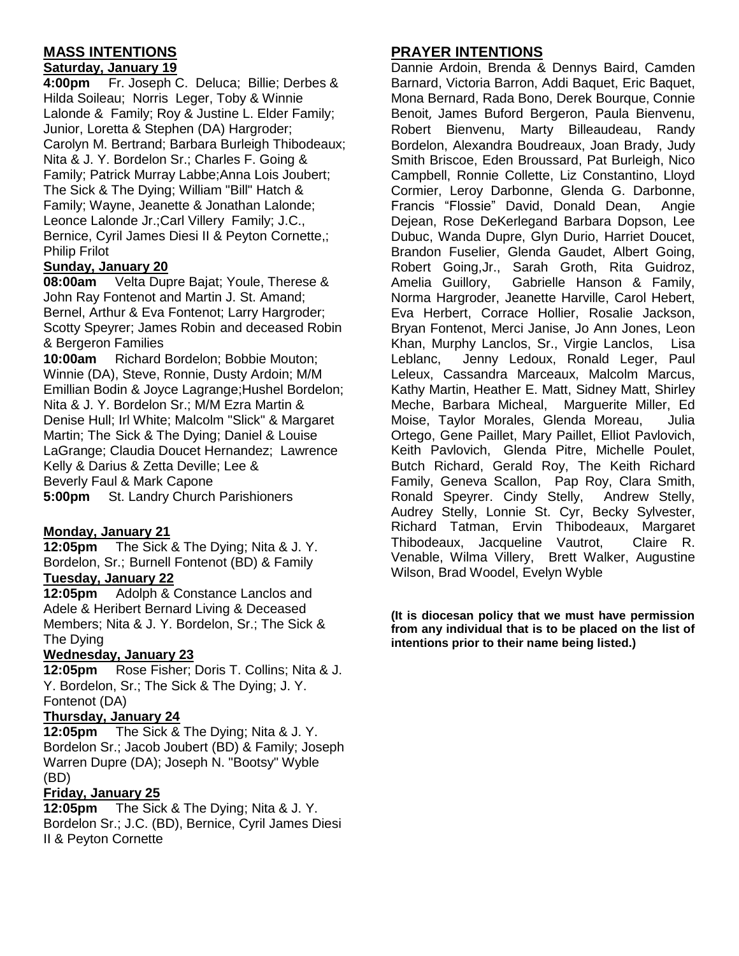# **MASS INTENTIONS**

#### **Saturday, January 19**

**4:00pm** Fr. Joseph C. Deluca; Billie; Derbes & Hilda Soileau; Norris Leger, Toby & Winnie Lalonde & Family; Roy & Justine L. Elder Family; Junior, Loretta & Stephen (DA) Hargroder; Carolyn M. Bertrand; Barbara Burleigh Thibodeaux; Nita & J. Y. Bordelon Sr.; Charles F. Going & Family; Patrick Murray Labbe;Anna Lois Joubert; The Sick & The Dying; William "Bill" Hatch & Family; Wayne, Jeanette & Jonathan Lalonde; Leonce Lalonde Jr.;Carl Villery Family; J.C., Bernice, Cyril James Diesi II & Peyton Cornette,; Philip Frilot

#### **Sunday, January 20**

**08:00am** Velta Dupre Bajat; Youle, Therese & John Ray Fontenot and Martin J. St. Amand; Bernel, Arthur & Eva Fontenot; Larry Hargroder; Scotty Speyrer; James Robin and deceased Robin & Bergeron Families

**10:00am** Richard Bordelon; Bobbie Mouton; Winnie (DA), Steve, Ronnie, Dusty Ardoin; M/M Emillian Bodin & Joyce Lagrange;Hushel Bordelon; Nita & J. Y. Bordelon Sr.; M/M Ezra Martin & Denise Hull; Irl White; Malcolm "Slick" & Margaret Martin; The Sick & The Dying; Daniel & Louise LaGrange; Claudia Doucet Hernandez; Lawrence Kelly & Darius & Zetta Deville; Lee & Beverly Faul & Mark Capone **5:00pm** St. Landry Church Parishioners

#### **Monday, January 21**

**12:05pm** The Sick & The Dying; Nita & J. Y. Bordelon, Sr.; Burnell Fontenot (BD) & Family

## **Tuesday, January 22**

**12:05pm** Adolph & Constance Lanclos and Adele & Heribert Bernard Living & Deceased Members; Nita & J. Y. Bordelon, Sr.; The Sick & The Dying

#### **Wednesday, January 23**

**12:05pm** Rose Fisher; Doris T. Collins; Nita & J. Y. Bordelon, Sr.; The Sick & The Dying; J. Y. Fontenot (DA)

#### **Thursday, January 24**

**12:05pm** The Sick & The Dying; Nita & J. Y. Bordelon Sr.; Jacob Joubert (BD) & Family; Joseph Warren Dupre (DA); Joseph N. "Bootsy" Wyble (BD)

#### **Friday, January 25**

**12:05pm** The Sick & The Dying; Nita & J. Y. Bordelon Sr.; J.C. (BD), Bernice, Cyril James Diesi II & Peyton Cornette

## **PRAYER INTENTIONS**

Dannie Ardoin, Brenda & Dennys Baird, Camden Barnard, Victoria Barron, Addi Baquet, Eric Baquet, Mona Bernard, Rada Bono, Derek Bourque, Connie Benoit, James Buford Bergeron, Paula Bienvenu, Robert Bienvenu, Marty Billeaudeau, Randy Bordelon, Alexandra Boudreaux, Joan Brady, Judy Smith Briscoe, Eden Broussard, Pat Burleigh, Nico Campbell, Ronnie Collette, Liz Constantino, Lloyd Cormier, Leroy Darbonne, Glenda G. Darbonne, Francis "Flossie" David, Donald Dean, Angie Dejean, Rose DeKerlegand Barbara Dopson, Lee Dubuc, Wanda Dupre, Glyn Durio, Harriet Doucet, Brandon Fuselier, Glenda Gaudet, Albert Going, Robert Going,Jr., Sarah Groth, Rita Guidroz, Amelia Guillory, Gabrielle Hanson & Family, Norma Hargroder, Jeanette Harville, Carol Hebert, Eva Herbert, Corrace Hollier, Rosalie Jackson, Bryan Fontenot, Merci Janise, Jo Ann Jones, Leon Khan, Murphy Lanclos, Sr., Virgie Lanclos, Lisa Leblanc, Jenny Ledoux, Ronald Leger, Paul Leleux, Cassandra Marceaux, Malcolm Marcus, Kathy Martin, Heather E. Matt, Sidney Matt, Shirley Meche, Barbara Micheal, Marguerite Miller, Ed Moise, Taylor Morales, Glenda Moreau, Julia Ortego, Gene Paillet, Mary Paillet, Elliot Pavlovich, Keith Pavlovich, Glenda Pitre, Michelle Poulet, Butch Richard, Gerald Roy, The Keith Richard Family, Geneva Scallon, Pap Roy, Clara Smith, Ronald Speyrer. Cindy Stelly, Andrew Stelly, Audrey Stelly, Lonnie St. Cyr, Becky Sylvester, Richard Tatman, Ervin Thibodeaux, Margaret Thibodeaux, Jacqueline Vautrot, Claire R. Venable, Wilma Villery, Brett Walker, Augustine Wilson, Brad Woodel, Evelyn Wyble

**(It is diocesan policy that we must have permission from any individual that is to be placed on the list of intentions prior to their name being listed.)**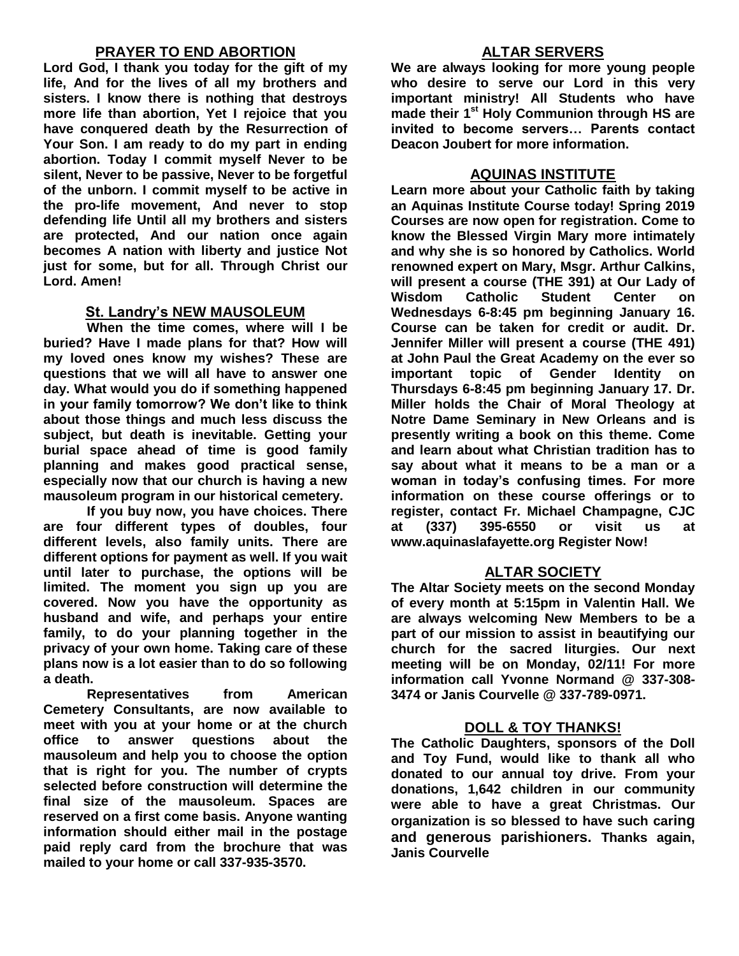# **PRAYER TO END ABORTION**

**Lord God, I thank you today for the gift of my life, And for the lives of all my brothers and sisters. I know there is nothing that destroys more life than abortion, Yet I rejoice that you have conquered death by the Resurrection of Your Son. I am ready to do my part in ending abortion. Today I commit myself Never to be silent, Never to be passive, Never to be forgetful of the unborn. I commit myself to be active in the pro-life movement, And never to stop defending life Until all my brothers and sisters are protected, And our nation once again becomes A nation with liberty and justice Not just for some, but for all. Through Christ our Lord. Amen!**

## **St. Landry's NEW MAUSOLEUM**

**When the time comes, where will I be buried? Have I made plans for that? How will my loved ones know my wishes? These are questions that we will all have to answer one day. What would you do if something happened in your family tomorrow? We don't like to think about those things and much less discuss the subject, but death is inevitable. Getting your burial space ahead of time is good family planning and makes good practical sense, especially now that our church is having a new mausoleum program in our historical cemetery.**

**If you buy now, you have choices. There are four different types of doubles, four different levels, also family units. There are different options for payment as well. If you wait until later to purchase, the options will be limited. The moment you sign up you are covered. Now you have the opportunity as husband and wife, and perhaps your entire family, to do your planning together in the privacy of your own home. Taking care of these plans now is a lot easier than to do so following a death.**

**Representatives from American Cemetery Consultants, are now available to meet with you at your home or at the church office to answer questions about the mausoleum and help you to choose the option that is right for you. The number of crypts selected before construction will determine the final size of the mausoleum. Spaces are reserved on a first come basis. Anyone wanting information should either mail in the postage paid reply card from the brochure that was mailed to your home or call 337-935-3570.**

## **ALTAR SERVERS**

**We are always looking for more young people who desire to serve our Lord in this very important ministry! All Students who have made their 1st Holy Communion through HS are invited to become servers… Parents contact Deacon Joubert for more information.**

## **AQUINAS INSTITUTE**

**Learn more about your Catholic faith by taking an Aquinas Institute Course today! Spring 2019 Courses are now open for registration. Come to know the Blessed Virgin Mary more intimately and why she is so honored by Catholics. World renowned expert on Mary, Msgr. Arthur Calkins, will present a course (THE 391) at Our Lady of Wisdom Catholic Student Center on Wednesdays 6-8:45 pm beginning January 16. Course can be taken for credit or audit. Dr. Jennifer Miller will present a course (THE 491) at John Paul the Great Academy on the ever so important topic of Gender Identity on Thursdays 6-8:45 pm beginning January 17. Dr. Miller holds the Chair of Moral Theology at Notre Dame Seminary in New Orleans and is presently writing a book on this theme. Come and learn about what Christian tradition has to say about what it means to be a man or a woman in today's confusing times. For more information on these course offerings or to register, contact Fr. Michael Champagne, CJC at (337) 395-6550 or visit us at www.aquinaslafayette.org Register Now!**

## **ALTAR SOCIETY**

**The Altar Society meets on the second Monday of every month at 5:15pm in Valentin Hall. We are always welcoming New Members to be a part of our mission to assist in beautifying our church for the sacred liturgies. Our next meeting will be on Monday, 02/11! For more information call Yvonne Normand @ 337-308- 3474 or Janis Courvelle @ 337-789-0971.** 

## **DOLL & TOY THANKS!**

**The Catholic Daughters, sponsors of the Doll and Toy Fund, would like to thank all who donated to our annual toy drive. From your donations, 1,642 children in our community were able to have a great Christmas. Our organization is so blessed to have such caring and generous parishioners. Thanks again, Janis Courvelle**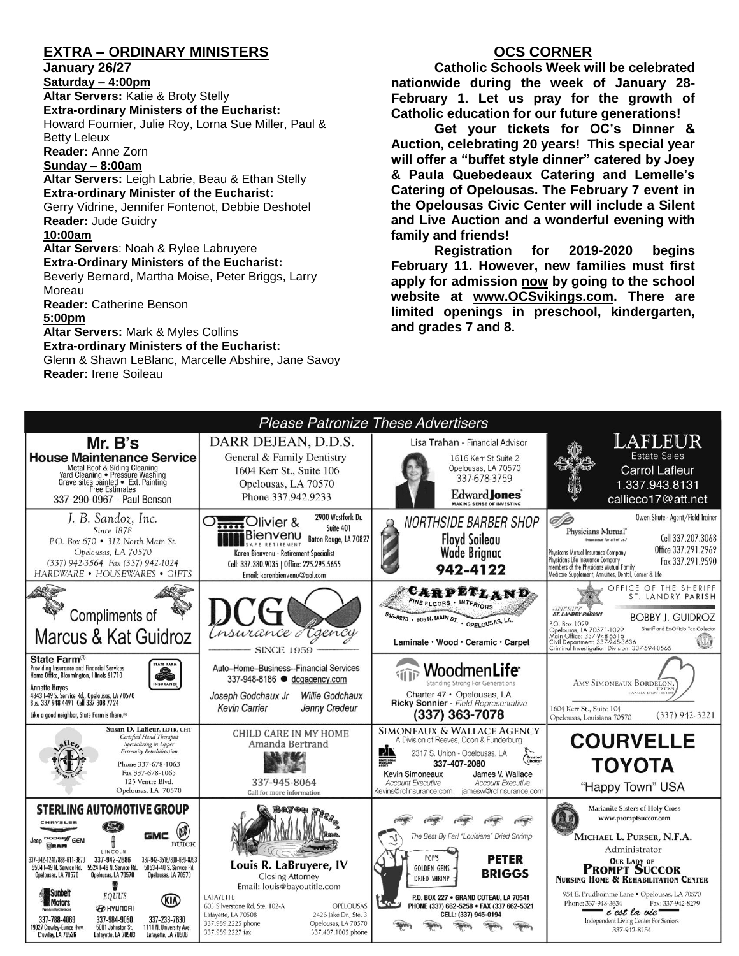# **EXTRA – ORDINARY MINISTERS**

**January 26/27**

**Saturday – 4:00pm Altar Servers:** Katie & Broty Stelly **Extra-ordinary Ministers of the Eucharist:**  Howard Fournier, Julie Roy, Lorna Sue Miller, Paul & Betty Leleux **Reader:** Anne Zorn **Sunday – 8:00am**

**Altar Servers:** Leigh Labrie, Beau & Ethan Stelly **Extra-ordinary Minister of the Eucharist:** Gerry Vidrine, Jennifer Fontenot, Debbie Deshotel **Reader:** Jude Guidry **10:00am Altar Servers**: Noah & Rylee Labruyere **Extra-Ordinary Ministers of the Eucharist:**

Beverly Bernard, Martha Moise, Peter Briggs, Larry Moreau

**Reader:** Catherine Benson

**5:00pm** 

**Altar Servers:** Mark & Myles Collins **Extra-ordinary Ministers of the Eucharist:**

Glenn & Shawn LeBlanc, Marcelle Abshire, Jane Savoy **Reader:** Irene Soileau

## **OCS CORNER**

**Catholic Schools Week will be celebrated nationwide during the week of January 28- February 1. Let us pray for the growth of Catholic education for our future generations!**

**Get your tickets for OC's Dinner & Auction, celebrating 20 years! This special year will offer a "buffet style dinner" catered by Joey & Paula Quebedeaux Catering and Lemelle's Catering of Opelousas. The February 7 event in the Opelousas Civic Center will include a Silent and Live Auction and a wonderful evening with family and friends!**

**Registration for 2019-2020 begins February 11. However, new families must first apply for admission now by going to the school website at [www.OCSvikings.com.](http://www.ocsvikings.com/) There are limited openings in preschool, kindergarten, and grades 7 and 8.**